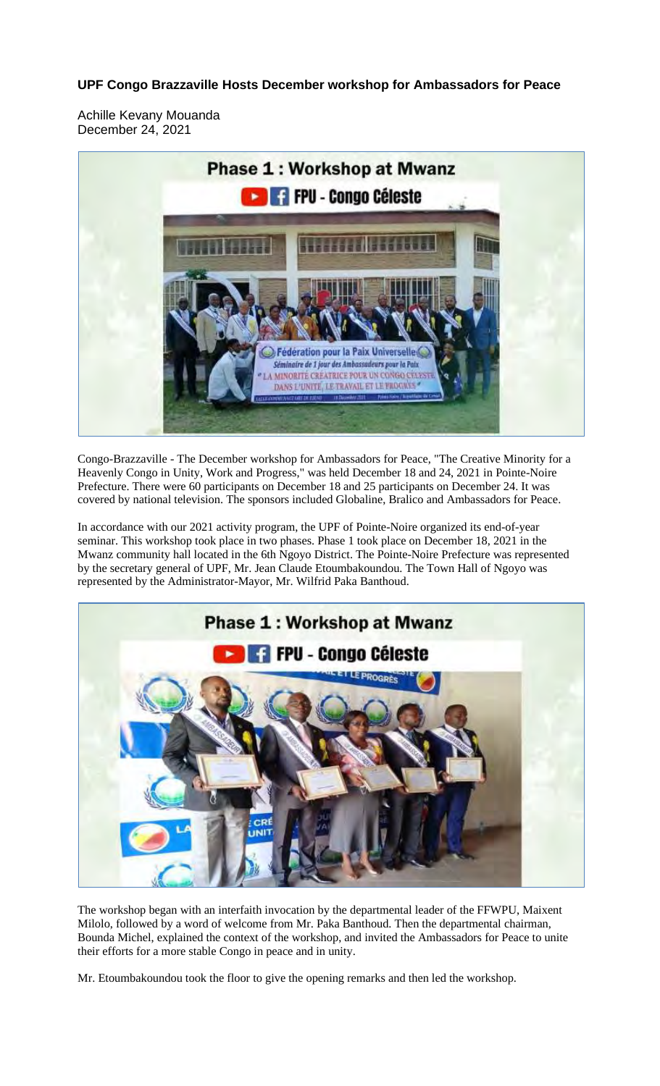**UPF Congo Brazzaville Hosts December workshop for Ambassadors for Peace**

Achille Kevany Mouanda December 24, 2021



Congo-Brazzaville - The December workshop for Ambassadors for Peace, "The Creative Minority for a Heavenly Congo in Unity, Work and Progress," was held December 18 and 24, 2021 in Pointe-Noire Prefecture. There were 60 participants on December 18 and 25 participants on December 24. It was covered by national television. The sponsors included Globaline, Bralico and Ambassadors for Peace.

In accordance with our 2021 activity program, the UPF of Pointe-Noire organized its end-of-year seminar. This workshop took place in two phases. Phase 1 took place on December 18, 2021 in the Mwanz community hall located in the 6th Ngoyo District. The Pointe-Noire Prefecture was represented by the secretary general of UPF, Mr. Jean Claude Etoumbakoundou. The Town Hall of Ngoyo was represented by the Administrator-Mayor, Mr. Wilfrid Paka Banthoud.



The workshop began with an interfaith invocation by the departmental leader of the FFWPU, Maixent Milolo, followed by a word of welcome from Mr. Paka Banthoud. Then the departmental chairman, Bounda Michel, explained the context of the workshop, and invited the Ambassadors for Peace to unite their efforts for a more stable Congo in peace and in unity.

Mr. Etoumbakoundou took the floor to give the opening remarks and then led the workshop.